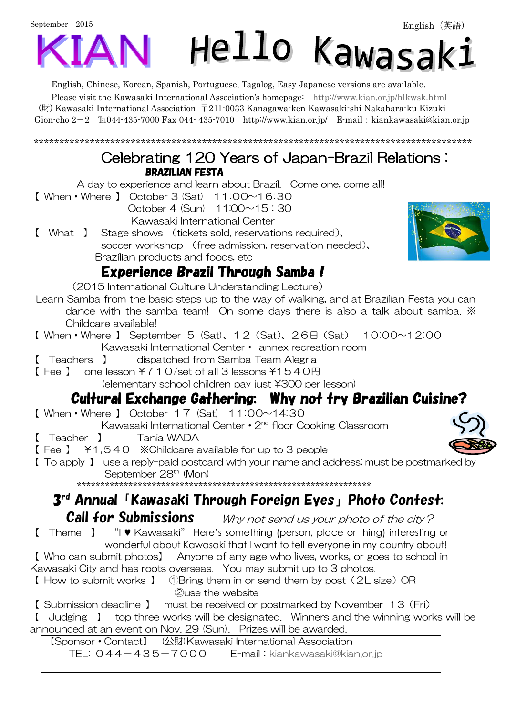# September 2015 Hello Kawasak:

English, Chinese, Korean, Spanish, Portuguese, Tagalog, Easy Japanese versions are available.

Please visit the Kawasaki International Association's homepage: <http://www.kian.or.jp/hlkwsk.html> (財) Kawasaki International Association 〒211-0033 Kanagawa-ken Kawasaki-shi Nakahara-ku Kizuki Gion-cho  $2-2$   $\text{It}044-435-7000$  Fax 044-435-7010 <http://www.kian.or.jp/>E-mail: kiankawasaki@kian.or.jp

\*\*\*\*\*\*\*\*\*\*\*\*\*\*\*\*\*\*\*\*\*\*\*\*\*\*\*\*\*\*\*\*\*\*\*\*\*\*\*\*\*\*\*\*\*\*\*\*\*\*\*\*\*\*\*\*\*\*\*\*\*\*\*\*\*\*\*\*\*\*\*\*\*\*\*\*\*\*\*\*\*\*\*\*\*\*

#### Celebrating 120 Years of Japan-Brazil Relations : BRAZILIAN FESTA

A day to experience and learn about Brazil. Come one, come all!

 $\lbrack$  When • Where  $\lbrack$  October 3 (Sat) 11:00~16:30

 October 4 (Sun) 11:00~15:30 Kawasaki International Center

【 What 】 Stage shows (tickets sold, reservations required)、

soccer workshop (free admission, reservation needed)、 Brazilian products and foods, etc

### Experience Brazil Through Samba!

(2015 International Culture Understanding Lecture)

- Learn Samba from the basic steps up to the way of walking, and at Brazilian Festa you can dance with the samba team! On some days there is also a talk about samba. ※ Childcare available!
- 【 When・Where 】 September 5 (Sat)、12(Sat)、26日(Sat) 10:00~12:00 Kawasaki International Center・ annex recreation room
- 【 Teachers 】 dispatched from Samba Team Alegria
- $[Fee]$  one lesson  $\angle 710$ /set of all 3 lessons  $\angle 1540$  A

(elementary school children pay just \300 per lesson)

## Cultural Exchange Gathering: Why not try Brazilian Cuisine?

【 When・Where 】 October 17 (Sat) 11:00~14:30

Kawasaki International Center • 2<sup>nd</sup> floor Cooking Classroom

- 【 Teacher 】 Tania WADA
- 【 Fee 】 \1,540 ※Childcare available for up to 3 people
- 【 To apply 】 use a reply-paid postcard with your name and address; must be postmarked by September 28<sup>th</sup> (Mon)

\*\*\*\*\*\*\*\*\*\*\*\*\*\*\*\*\*\*\*\*\*\*\*\*\*\*\*\*\*\*\*\*\*\*\*\*\*\*\*\*\*\*\*\*\*\*\*\*\*\*\*\*\*\*\*\*\*\*\*\*\*\*\*

# 3 rd Annual「Kawasaki Through Foreign Eyes」Photo Contest:

**Call for Submissions** Why not send us your photo of the city?

【 Theme 】 "I ♥ Kawasaki" Here's something (person, place or thing) interesting or wonderful about Kawasaki that I want to tell everyone in my country about!

【 Who can submit photos】 Anyone of any age who lives, works, or goes to school in Kawasaki City and has roots overseas. You may submit up to 3 photos.

【 How to submit works 】 ①Bring them in or send them by post(2L size)OR ②use the website

【 Submission deadline 】 must be received or postmarked by November 13(Fri)

【 Judging 】 top three works will be designated. Winners and the winning works will be announced at an event on Nov. 29 (Sun). Prizes will be awarded.

【Sponsor・Contact】 (公財)Kawasaki International Association TEL: 044-435-7000 E-mail: [kiankawasaki@kian.or.jp](mailto:kiankawasaki@kian.or.jp)